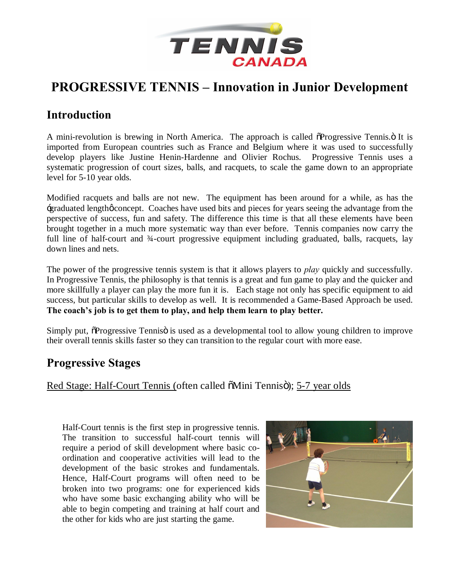

## **PROGRESSIVE TENNIS – Innovation in Junior Development**

## **Introduction**

A mini-revolution is brewing in North America. The approach is called  $\delta$ Progressive Tennis. $\delta$  It is imported from European countries such as France and Belgium where it was used to successfully develop players like Justine Henin-Hardenne and Olivier Rochus. Progressive Tennis uses a systematic progression of court sizes, balls, and racquets, to scale the game down to an appropriate level for 5-10 year olds.

Modified racquets and balls are not new. The equipment has been around for a while, as has the 'graduated length' concept. Coaches have used bits and pieces for years seeing the advantage from the perspective of success, fun and safety. The difference this time is that all these elements have been brought together in a much more systematic way than ever before. Tennis companies now carry the full line of half-court and 3<sup>4</sup>-court progressive equipment including graduated, balls, racquets, lay down lines and nets.

The power of the progressive tennis system is that it allows players to *play* quickly and successfully. In Progressive Tennis, the philosophy is that tennis is a great and fun game to play and the quicker and more skillfully a player can play the more fun it is. Each stage not only has specific equipment to aid success, but particular skills to develop as well. It is recommended a Game-Based Approach be used. **The coach's job is to get them to play, and help them learn to play better.**

Simply put,  $\delta$ Progressive Tenniso is used as a developmental tool to allow young children to improve their overall tennis skills faster so they can transition to the regular court with more ease.

## **Progressive Stages**

Red Stage: Half-Court Tennis (often called  $\delta$ Mini Tennisö); 5-7 year olds

Half-Court tennis is the first step in progressive tennis. The transition to successful half-court tennis will require a period of skill development where basic coordination and cooperative activities will lead to the development of the basic strokes and fundamentals. Hence, Half-Court programs will often need to be broken into two programs: one for experienced kids who have some basic exchanging ability who will be able to begin competing and training at half court and the other for kids who are just starting the game.

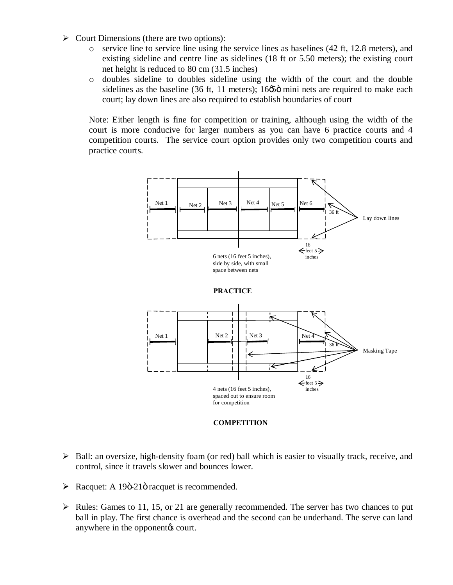- $\triangleright$  Court Dimensions (there are two options):
	- o service line to service line using the service lines as baselines (42 ft, 12.8 meters), and existing sideline and centre line as sidelines (18 ft or 5.50 meters); the existing court net height is reduced to 80 cm (31.5 inches)
	- o doubles sideline to doubles sideline using the width of the court and the double sidelines as the baseline (36 ft, 11 meters);  $16\phi\ddot{\phi}$  mini nets are required to make each court; lay down lines are also required to establish boundaries of court

Note: Either length is fine for competition or training, although using the width of the court is more conducive for larger numbers as you can have 6 practice courts and 4 competition courts. The service court option provides only two competition courts and practice courts.





- $\triangleright$  Ball: an oversize, high-density foam (or red) ball which is easier to visually track, receive, and control, since it travels slower and bounces lower.
- $\triangleright$  Racquet: A 19 $\ddot{o}$ -21 $\ddot{o}$  racquet is recommended.
- $\triangleright$  Rules: Games to 11, 15, or 21 are generally recommended. The server has two chances to put ball in play. The first chance is overhead and the second can be underhand. The serve can land anywhere in the opponent<sub>(s</sub> court.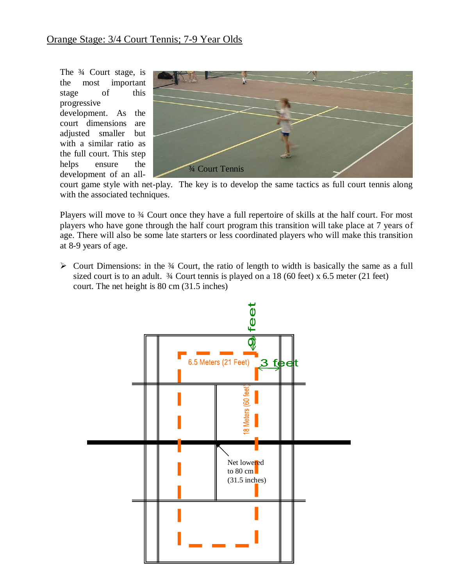The ¾ Court stage, is the most important stage of this progressive

development. As the court dimensions are adjusted smaller but with a similar ratio as the full court. This step helps ensure the development of an all-



court game style with net-play. The key is to develop the same tactics as full court tennis along with the associated techniques.

Players will move to 34 Court once they have a full repertoire of skills at the half court. For most players who have gone through the half court program this transition will take place at 7 years of age. There will also be some late starters or less coordinated players who will make this transition at 8-9 years of age.

 $\triangleright$  Court Dimensions: in the  $\frac{3}{4}$  Court, the ratio of length to width is basically the same as a full sized court is to an adult.  $\frac{3}{4}$  Court tennis is played on a 18 (60 feet) x 6.5 meter (21 feet) court. The net height is 80 cm (31.5 inches)